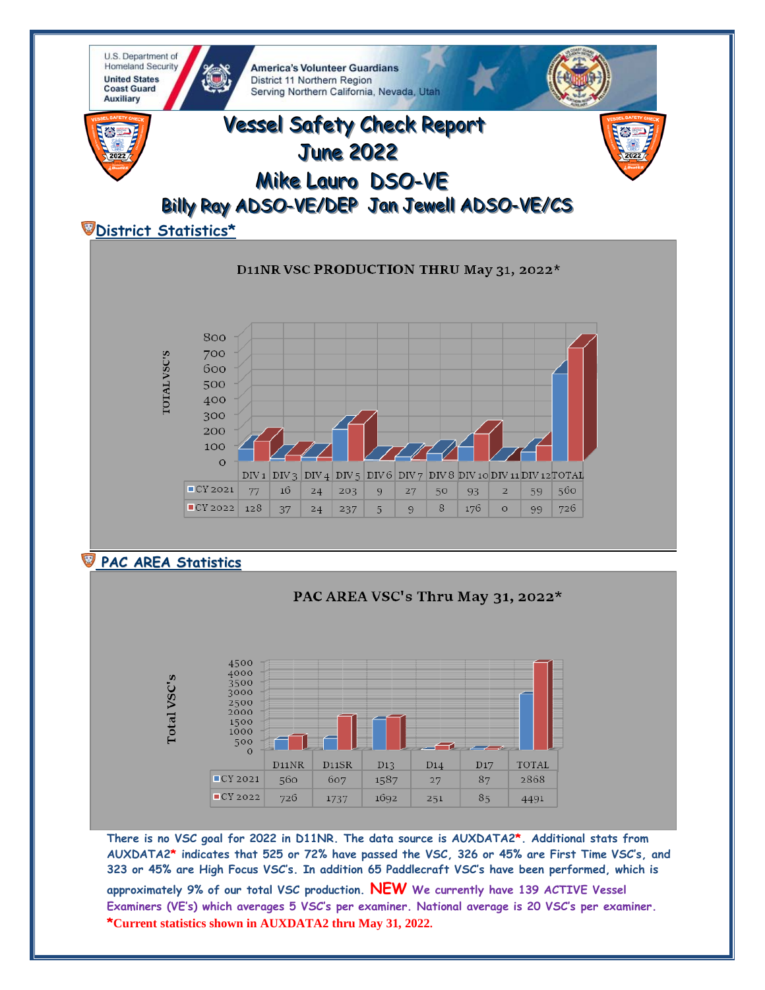

AUXDATA2\* indicates that 525 or 72% have passed the VSC, 326 or 45% are First Time VSC's, and 323 or 45% are High Focus VSC's. In addition 65 Paddlecraft VSC's have been performed, which is approximately 9% of our total VSC production. NEW We currently have 139 ACTIVE Vessel Examiners (VE's) which averages 5 VSC's per examiner. National average is 20 VSC's per examiner. \*Current statistics shown in AUXDATA2 thru May 31, 2022.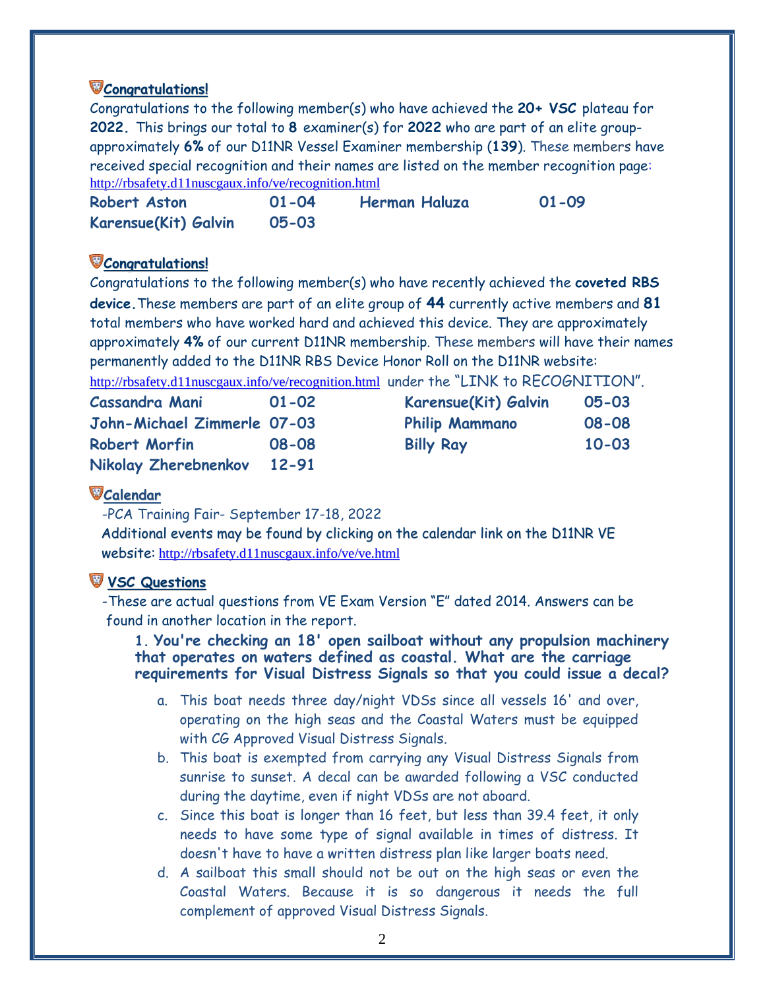## **Congratulations!**

Congratulations to the following member(s) who have achieved the **20+ VSC** plateau for **2022.** This brings our total to **8** examiner(s) for **2022** who are part of an elite groupapproximately **6%** of our D11NR Vessel Examiner membership (**139**). These members have received special recognition and their names are listed on the member recognition page: <http://rbsafety.d11nuscgaux.info/ve/recognition.html>

| Robert Aston         | $01 - 04$ | Herman Haluza | $01 - 09$ |
|----------------------|-----------|---------------|-----------|
| Karensue(Kit) Galvin | 05-03     |               |           |

## **Congratulations!**

Congratulations to the following member(s) who have recently achieved the **coveted RBS device.**These members are part of an elite group of **44** currently active members and **81** total members who have worked hard and achieved this device. They are approximately approximately **4%** of our current D11NR membership. These members will have their names permanently added to the D11NR RBS Device Honor Roll on the D11NR website:

<http://rbsafety.d11nuscgaux.info/ve/recognition.html>under the "LINK to RECOGNITION".

| <b>Cassandra Mani</b>       | $01 - 02$ | Karensue(Kit) Galvin  | $05 - 03$ |
|-----------------------------|-----------|-----------------------|-----------|
| John-Michael Zimmerle 07-03 |           | <b>Philip Mammano</b> | 08-08     |
| Robert Morfin               | 08-08     | <b>Billy Ray</b>      | $10 - 03$ |
| Nikolay Zherebnenkov        | 12-91     |                       |           |

## **Calendar**

-PCA Training Fair- September 17-18, 2022

Additional events may be found by clicking on the calendar link on the D11NR VE website: <http://rbsafety.d11nuscgaux.info/ve/ve.html>

# **VSC Questions**

 -These are actual questions from VE Exam Version "E" dated 2014. Answers can be found in another location in the report.

#### **1. You're checking an 18' open sailboat without any propulsion machinery that operates on waters defined as coastal. What are the carriage requirements for Visual Distress Signals so that you could issue a decal?**

- a. This boat needs three day/night VDSs since all vessels 16' and over, operating on the high seas and the Coastal Waters must be equipped with CG Approved Visual Distress Signals.
- b. This boat is exempted from carrying any Visual Distress Signals from sunrise to sunset. A decal can be awarded following a VSC conducted during the daytime, even if night VDSs are not aboard.
- c. Since this boat is longer than 16 feet, but less than 39.4 feet, it only needs to have some type of signal available in times of distress. It doesn't have to have a written distress plan like larger boats need.
- d. A sailboat this small should not be out on the high seas or even the Coastal Waters. Because it is so dangerous it needs the full complement of approved Visual Distress Signals.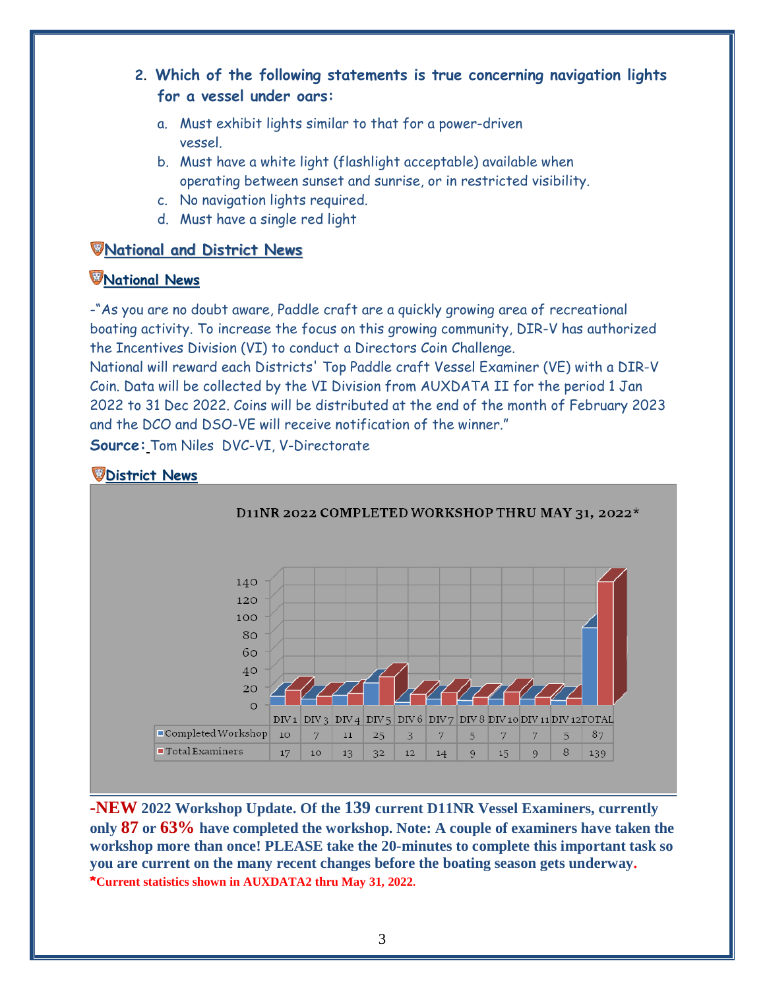- **2**. **Which of the following statements is true concerning navigation lights for a vessel under oars:**
	- a. Must exhibit lights similar to that for a power-driven vessel.
	- b. Must have a white light (flashlight acceptable) available when operating between sunset and sunrise, or in restricted visibility.
	- c. No navigation lights required.
	- d. Must have a single red light

### **National and District News**

### **National News**

-"As you are no doubt aware, Paddle craft are a quickly growing area of recreational boating activity. To increase the focus on this growing community, DIR-V has authorized the Incentives Division (VI) to conduct a Directors Coin Challenge.

National will reward each Districts' Top Paddle craft Vessel Examiner (VE) with a DIR-V Coin. Data will be collected by the VI Division from AUXDATA II for the period 1 Jan 2022 to 31 Dec 2022. Coins will be distributed at the end of the month of February 2023 and the DCO and DSO-VE will receive notification of the winner."

**Source:** Tom Niles DVC-VI, V-Directorate

# **District News**



**-NEW 2022 Workshop Update. Of the 139 current D11NR Vessel Examiners, currently only 87 or 63% have completed the workshop. Note: A couple of examiners have taken the workshop more than once! PLEASE take the 20-minutes to complete this important task so you are current on the many recent changes before the boating season gets underway. \*Current statistics shown in AUXDATA2 thru May 31, 2022.**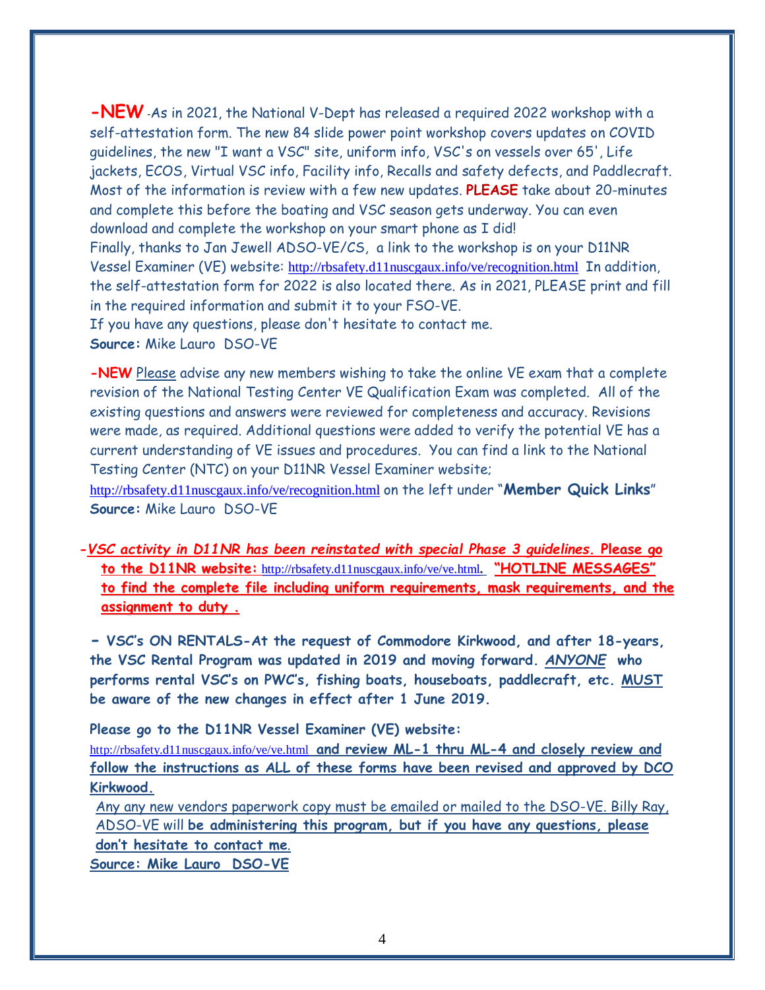**-NEW** -As in 2021, the National V-Dept has released a required 2022 workshop with a self-attestation form. The new 84 slide power point workshop covers updates on COVID guidelines, the new "I want a VSC" site, uniform info, VSC's on vessels over 65', Life jackets, ECOS, Virtual VSC info, Facility info, Recalls and safety defects, and Paddlecraft. Most of the information is review with a few new updates. **PLEASE** take about 20-minutes and complete this before the boating and VSC season gets underway. You can even download and complete the workshop on your smart phone as I did! Finally, thanks to Jan Jewell ADSO-VE/CS, a link to the workshop is on your D11NR Vessel Examiner (VE) website: <http://rbsafety.d11nuscgaux.info/ve/recognition.html>In addition, the self-attestation form for 2022 is also located there. As in 2021, PLEASE print and fill in the required information and submit it to your FSO-VE. If you have any questions, please don't hesitate to contact me. **Source:** Mike Lauro DSO-VE

**-NEW** Please advise any new members wishing to take the online VE exam that a complete revision of the National Testing Center VE Qualification Exam was completed. All of the existing questions and answers were reviewed for completeness and accuracy. Revisions were made, as required. Additional questions were added to verify the potential VE has a current understanding of VE issues and procedures. You can find a link to the National Testing Center (NTC) on your D11NR Vessel Examiner website;

<http://rbsafety.d11nuscgaux.info/ve/recognition.html> on the left under "**Member Quick Links**" **Source:** Mike Lauro DSO-VE

*-VSC activity in D11NR has been reinstated with special Phase 3 guidelines.* **Please go to the D11NR website:** <http://rbsafety.d11nuscgaux.info/ve/ve.html>**. "HOTLINE MESSAGES" to find the complete file including uniform requirements, mask requirements, and the assignment to duty .**

**- VSC's ON RENTALS-At the request of Commodore Kirkwood, and after 18-years, the VSC Rental Program was updated in 2019 and moving forward.** *ANYONE* **who performs rental VSC's on PWC's, fishing boats, houseboats, paddlecraft, etc. MUST be aware of the new changes in effect after 1 June 2019.** 

**Please go to the D11NR Vessel Examiner (VE) website:**

<http://rbsafety.d11nuscgaux.info/ve/ve.html> **and review ML-1 thru ML-4 and closely review and follow the instructions as ALL of these forms have been revised and approved by DCO Kirkwood.**

Any any new vendors paperwork copy must be emailed or mailed to the DSO-VE. Billy Ray, ADSO-VE will **be administering this program, but if you have any questions, please don't hesitate to contact me**.

**Source: Mike Lauro DSO-VE**